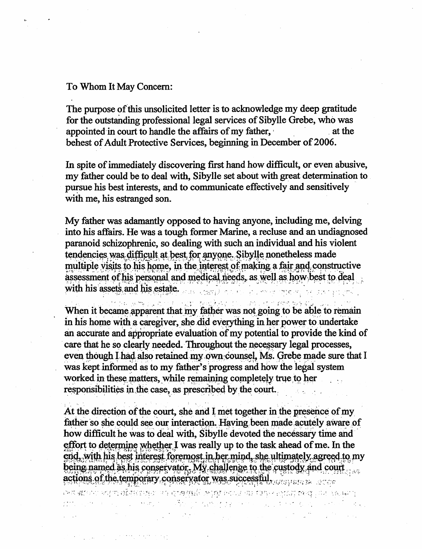## To Whom It May Concern:

 $\mathcal{L}^{\text{max}}_{\text{max}}$  , where  $\mathcal{L}^{\text{max}}_{\text{max}}$  , where  $\mathcal{L}^{\text{max}}_{\text{max}}$ 

The purpose of this unsolicited letter is to acknowledge my deep gratitude for the outstanding professional legal services of Sibylle Grebe, who was appointed in court to handle the affairs of my father, behest of Adult Protective Services, beginning in December of 2006.

In spite of immediately discovering first hand how difficult, or even abusive, my father could be to deal with, Sibylle set about with great determination to pursue his best interests, and to communicate effectively and sensitively with me, his estranged son.

My father was adamantly opposed to having anyone, including me, delving into his affairs. He was a tough former Marine, a recluse and an undiagnosed paranoid schizophrenic, so dealing with such an individual and his violent tendencies, was difficult at best for anyone. Sibylle nonetheless made multiple visits to his home, in the interest of making a fair and constructive assessment of his personal and medical needs, as well as how best to deal with ins asset, aiidiu^^ , v . v . . - .

-<br>กลับ (พระเมินกลับ 1555-310 - ครับ 1415) When it became apparent that my father was not going to be able to remain in his home with a caregiver, she did everything in her power to undertake an accurate and appropriate evaluation of my potential to provide the kind of care that he so clearly needed. Throughout the necessary legal processes, even though I had also retained my own counsel. Ms. Grebe made sure that I was kept informed as to my father's progress and how the legal system worked in these matters, while remaining completely true to her responsibilities in the case, as prescribed by the court.

At the direction of the court, she and I met together in the presence of my father so she could see our interaction. Having been made acutely aware of how difficult he was to deal with, Sibylle devoted the necessary time and effort to determine whether I was really up to the task ahead of me. In the end, with his best interest foremost in her mind, she ultimately agreed to my being named as his conservator. My challenge to the custody and court actions of the temporary conservator was successful . The research of the temporary conservator was successful

and the company of the state of the state of the state of the state of the state of the state of the state of

 $\mathcal{L}^{\mathcal{L}}(\mathcal{L}^{\mathcal{L}})$  and the contribution of the contribution of the contribution of the contribution of the contribution of the contribution of the contribution of the contribution of the contribution of the con